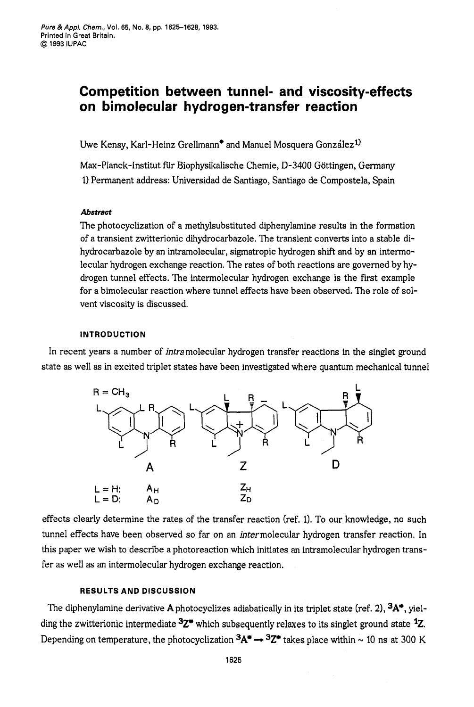# **Competition between tunnel- and viscosity-effects on bimolecular hydrogen-transfer reaction**

Uwe Kensy, Karl-Heinz Grellmann<sup>\*</sup> and Manuel Mosquera González<sup>1)</sup>

Max-Planck-Institut für Biophysikalische Chemie, D-3400 Göttingen, Germany 1) Permanent address: Universidad de Santiago, Santiago de Compostela, Spain

## *Abstract*

The photocyclization of a methylsubstituted diphenylamine results in the formation of a transient zwitterionic dihydrocarbazole. The transient converts into a stable dihydrocarbazole by an intramolecular, sigmatropic hydrogen shift and by an intermolecular hydrogen exchange reaction. The rates of both reactions are governed by hydrogen tunnel effects. The intermolecular hydrogen exchange is the first example for a bimolecular reaction where tunnel effects have been observed. The role of solvent viscosity is discussed.

### **INTRODUCTION**

In recent years a number of intramolecular hydrogen transfer reactions in the singlet ground state as well as in excited triplet states have been investigated where quantum mechanical tunnel



effects clearly determine the rates of the transfer reaction (ref. 1). To our knowledge, no such tunnel effects have been observed **so** far on an intermolecular hydrogen transfer reaction. In this paper we wish to describe a photoreaction which initiates **an** intramolecular hydrogen transfer as well as an intermolecular hydrogen exchange reaction.

## **RESULTS AND DISCUSSION**

The diphenylamine derivative **A** photocyclizes adiabatically in its triplet state (ref. **21, 3A\*,** yielding the zwitterionic intermediate **3Z\*** which subsequently relaxes to its singlet ground state **\*Z.**  Depending on temperature, the photocyclization  ${}^3A^* \rightarrow {}^3Z^*$  takes place within  $\sim 10$  ns at 300 K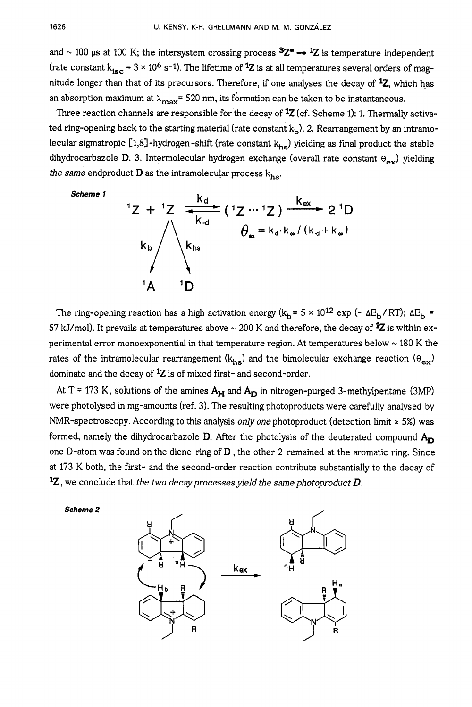and  $\sim$  100  $\mu$ s at 100 K; the intersystem crossing process  $3Z^* \rightarrow 1Z$  is temperature independent (rate constant  $k_{iS} = 3 \times 10^6$  s<sup>-1</sup>). The lifetime of <sup>1</sup>Z is at all temperatures several orders of magnitude longer than that of its precursors. Therefore, if one analyses the decay of <sup>1</sup>Z, which has an absorption maximum at  $\lambda_{\text{max}}$  = 520 nm, its formation can be taken to be instantaneous.

Three reaction channels are responsible for the decay of **lZ** (cf. Scheme 1): 1. Thermally activated ring-opening back to the starting material (rate constant  $k<sub>b</sub>$ ). 2. Rearrangement by an intramolecular sigmatropic [1,8]-hydrogen-shift (rate constant  $k_{hs}$ ) yielding as final product the stable dihydrocarbazole D. 3. Intermolecular hydrogen exchange (overall rate constant  $\theta_{ex}$ ) yielding *the same* endproduct  $D$  as the intramolecular process  $k_{hs}$ .

Scheme 1

\n
$$
1Z + 1Z = \frac{k_d}{k_d} \left(1Z - 1Z\right) \xrightarrow{k_{ex}} 21D
$$
\n
$$
k_b
$$
\n
$$
k_{hs}
$$
\n
$$
1A - 1D
$$
\n12 + 1Z

\n
$$
\frac{k_d}{k_{hs}}
$$
\n
$$
\theta_{\alpha} = k_d \cdot k_{\alpha} / (k_d + k_{\alpha})
$$

The ring-opening reaction has a high activation energy  $(k_b = 5 \times 10^{12} \text{ exp }(- \Delta E_b / RT)$ ;  $\Delta E_b$ 57 kJ/mol). It prevails at temperatures above  $\sim$  200 K and therefore, the decay of  $^{12}Z$  is within experimental error monoexponential in that temperature region. At temperatures below  $\sim$  180 K the rates of the intramolecular rearrangement  $(k_{hs})$  and the bimolecular exchange reaction  $(\theta_{ex})$ dominate and the decay of **lZ** is of mixed first- and second-order.

At T = 173 K, solutions of the amines  $A_H$  and  $A_D$  in nitrogen-purged 3-methylpentane (3MP) were photolysed in mg-amounts (ref. 3). The resulting photoproducts were carefully analysed by NMR-spectroscopy. According to this analysis *only one* photoproduct (detection limit *2* 5%) was formed, namely the dihydrocarbazole  $D$ . After the photolysis of the deuterated compound  $A_D$ one D-atom was found on the diene-ring of  $D$ , the other 2 remained at the aromatic ring. Since at 173 K both, the first- and the second-order reaction contribute substantially to the decay of **lZ** , we conclude that *the two decayprocessesyield the same photoproduct D.* 

*Scheme 2* 

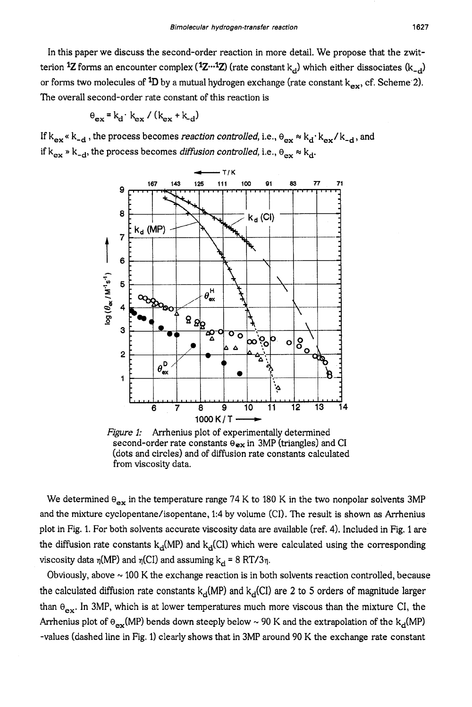In this paper we discuss the second-order reaction in more detail. We propose that the zwitterion <sup>1</sup>Z forms an encounter complex  $(12^{-1}Z)$  (rate constant  $k_d$ ) which either dissociates  $(k_d)$ or forms two molecules of  ${}^{1}D$  by a mutual hydrogen exchange (rate constant  $k_{ex}$ , cf. Scheme 2). The overall second-order rate constant of this reaction is

$$
\Theta_{\mathbf{ex}} = \mathbf{k}_{\mathbf{d}} \cdot \mathbf{k}_{\mathbf{ex}} / (\mathbf{k}_{\mathbf{ex}} + \mathbf{k}_{\mathbf{d}})
$$

If  $k_{ex} \times k_{-d}$ , the process becomes *reaction controlled*, i.e.,  $\theta_{ex} \approx k_d \cdot k_{ex}/k_{-d}$ , and if  $k_{ex} \times k_{-d}$ , the process becomes *diffusion controlled,* i.e.,  $\theta_{ex} \approx k_{c}$ 



second-order rate constants **eex** in 3MP (triangles) and **CI**  (dots and circles) and of diffusion rate constants calculated from viscosity data. *Figure 1:* Arrhenius plot of experimentally determined

We determined  $\theta_{ex}$  in the temperature range 74 K to 180 K in the two nonpolar solvents 3MP and the mixture cyclopentane/isopentane, 1:4 by volume (CI). The result is shown as Arrhenius plot in Fig. 1. For both solvents accurate viscosity data are available (ref. 4). Included in Fig. 1 are the diffusion rate constants  $k_d(MP)$  and  $k_d(Cl)$  which were calculated using the corresponding viscosity data  $\eta(MP)$  and  $\eta(Cl)$  and assuming  $k_d = 8 RT/3\eta$ .

the calculated diffusion rate constants  $k_d(MP)$  and  $k_d(Cl)$  are 2 to 5 orders of magnitude larger than  $\theta_{ex}$ . In 3MP, which is at lower temperatures much more viscous than the mixture CI, the Arrhenius plot of  $\Theta_{ex}(MP)$  bends down steeply below ~ 90 K and the extrapolation of the k<sub>d</sub>(MP) -values (dashed line in Fig. 1) clearly shows that in 3MP around 90 K the exchange rate constant Obviously, above  $\sim$  100 K the exchange reaction is in both solvents reaction controlled, because